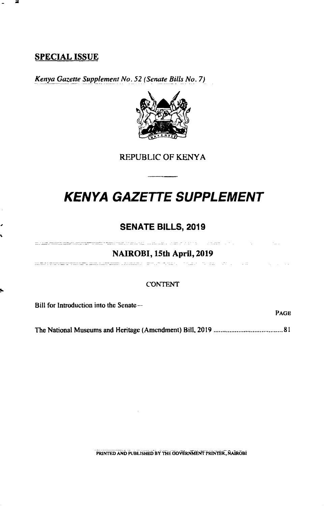### **SPECIAL ISSUE**

**ja** 

*Kenya Gazette Supplement No. 52 (Senate Bills No. 7)* 



REPUBLIC OF KENYA

# **KENYA GAZETTE SUPPLEMENT**

### **SENATE BILLS, 2019**

**NAIROBI, 15th April, 2019**  ה היה היה מה המודע המודע המודע המודע המודע המודע המודע המשפט ומשפט משפט של המודע המשפט המודע המודע המודע המודע

#### CONTENT

Bill for Introduction into the Senate-

The National Museums and Heritage (Amendment) Bill, 2019 .......................................81

PAGE

**PRINTED AND PUBlISHED BY THE GOVERNMENT PRINTER, NAIROBI**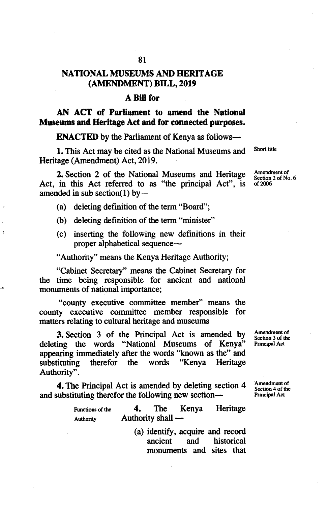### **NATIONAL MUSEUMS AND HERITAGE (AMENDMENT) BILL, 2019**

### **ABillfor**

**AN ACT of Parliament to amend the National Museums and Heritage Act and for connected purposes.** 

**ENACTED** by the Parliament of Kenya as follows-

1. This Act may be cited as the National Museums and Short title Heritage (Amendment) Act, 2019.

**2.** Section 2 of the National Museums and Heritage Amendment of Act, in this Act referred to as "the principal Act", is of 2006 amended in sub section(1) by  $-$ 

(a) deleting definition of the term "Board";

(b) deleting definition of the term "minister"

inserting the following new definitions in their proper alphabetical sequence-

"Authority" means the Kenya Heritage Authority;

"Cabinet Secretary" means the Cabinet Secretary for the time being responsible for ancient and national monuments of national importance;

"county executive committee member" means the county executive committee member responsible for matters relating to cultural heritage and museums

**3.** Section 3 of the Principal Act is amended by  $\frac{\text{Amendment of}}{\text{Section 3 of the}}$ deleting the words "National Museums of Kenya" appearing immediately after the words "known as the" and substituting therefor the words "Kenya Heritage Authority".

**4.** The Principal Act is amended by deleting section  $4 \times 2^{\text{Ameindment of}}$ and substituting therefor the following new section—

| Functions of the | 4.                  | The Kenya | Heritage |
|------------------|---------------------|-----------|----------|
| <b>Authority</b> | Authority shall $-$ |           |          |

(a) identify, acquire and record ancient and historical monuments and sites that

Section 3 of the<br>Principal Act

Section 4 of the<br>Principal Act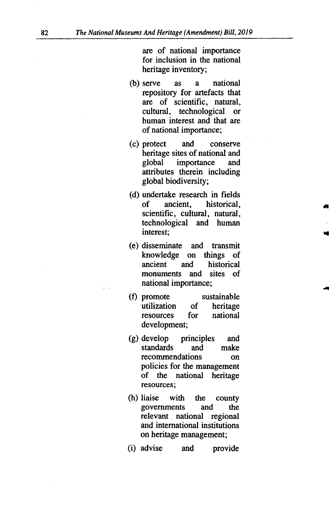are of national importance for inclusion in the national heritage inventory;

- (b) serve as a national repository for artefacts that are of scientific, natural, cultural, technological or human interest and that are of national importance;
- protect and conserve heritage sites of national and global importance and attributes therein including global biodiversity;
- (d) undertake research in fields of ancient, historical, scientific, cultural, natural, technological and human interest;
- disseminate and transmit knowledge on things of ancient and historical monuments and sites of national importance;
- (f) promote sustainable<br>utilization of heritage utilization resources for national development;
- develop principles and standards and make recommendations on policies for the management of the national heritage resources;
- (h) liaise with the county governments and the relevant national regional and international institutions on heritage management;
- (i) advise and provide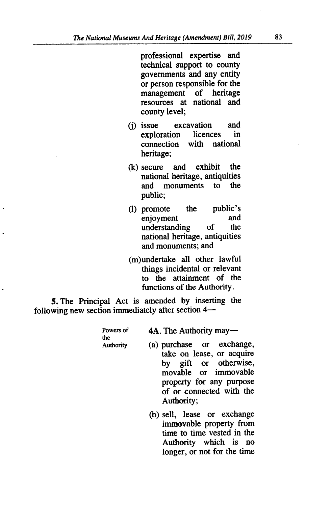professional expertise and technical support to county governments and any entity or person responsible for the management of heritage resources at national and county level;

- (i) issue excavation and exploration licences in connection with national heritage;
- $(k)$  secure and exhibit the national heritage, antiquities and monuments to the public;
- (1) promote the public's enjoyment and understanding of the national heritage, antiquities and monuments; and
- (m)undertake all other lawful things incidental or relevant to the attainment of the functions of the Authority.

*5.* The Principal Act is amended by inserting the following new section immediately after section  $4-$ 

| Powers of       |
|-----------------|
| the             |
| ومعتمدها ومنافر |

4A. The Authority may-

- 
- Authority (a) purchase or exchange, take on lease, or acquire by gift or otherwise, movable or immovable property for any purpose of or connected with the Authority;
	- (b) sell, lease or exchange immovable property from time to time vested in the Authority which is no longer, or not for the time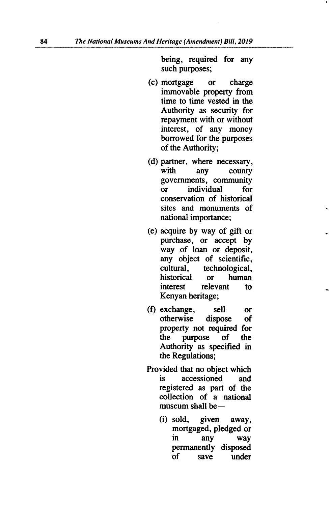being, required for any such purposes;

- mortgage or charge immovable property from time to time vested in the Authority as security for repayment with or without interest, of any money borrowed for the purposes of the Authority;
- (d) partner, where necessary, with any county governments, community or individual for conservation of historical sites and monuments of national importance;
- acquire by way of gift or purchase, or accept by way of loan or deposit, any object of scientific, cultural, technological, historical or human interest relevant to Kenyan heritage;
- (f) exchange, sell or<br>otherwise dispose of otherwise property not required for the purpose of the Authority as specified in the Regulations;
- Provided that no object which is accessioned and registered as part of the collection of a national museum shall be $-$ 
	- (i) sold, given away, mortgaged, pledged or in any way permanently disposed of save under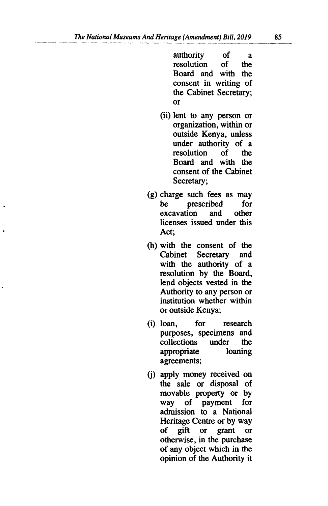authority of a resolution of the Board and with the consent in writing of the Cabinet Secretary; or

- (ii) lent to any person or organization, within or outside Kenya, unless under authority of a<br>resolution of the resolution Board and with the consent of the Cabinet Secretary;
- $(g)$  charge such fees as may<br>be prescribed for prescribed for<br>ion and other excavation licenses issued under this Act;
- with the consent of the Cabinet Secretary and with the authority of a resolution by the Board, lend objects vested in the Authority to any person or institution whether within or outside Kenya;
- (i) loan, for research purposes, specimens and<br>collections under the collections under the<br>appropriate loaning appropriate agreements;
- (j) apply money received on the sale or disposal of movable property or by way of payment for admission to a National Heritage Centre or by way of gift or grant or otherwise, in the purchase of any object which in the opinion of the Authority it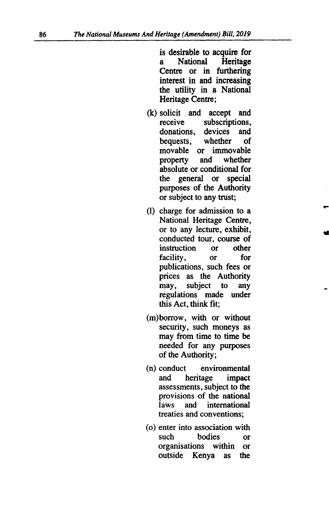is desirable to acquire for a National Heritage Centre or in furthering interest in and increasing the utility in a National Heritage Centre;

- (k) solicit and accept and receive subscriptions,<br>donations, devices and donations, devices<br>bequests, whether bequests, whether of movable or immovable<br>property and whether property and absolute or conditional for the general or special purposes of the Authority or subject to any trust;
- (I) charge for admission to a National Heritage Centre, or to any lecture, exhibit, conducted tour, course of instruction or other facility, or for publications, such fees or prices as the Authority<br>may, subject to any may, subject to regulations made under this Act, think *fit;*
- (m)borrow, with or without security, such moneys as may from time to time be needed for any purposes of the Authority;
- conduct environmental and heritage impact assessments, subject to the provisions of the national laws and international treaties and conventions;
- (o) enter into association with such bodies or organisations within or outside Kenya as the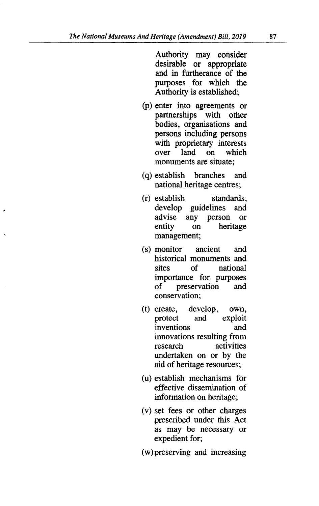Authority may consider desirable or appropriate and in furtherance of the purposes for which the Authority is established;

- (p) enter into agreements or partnerships with other bodies, organisations and persons including persons with proprietary interests over land on which monuments are situate;
- (q) establish branches and national heritage centres;
- establish standards, develop guidelines and advise any person or entity on heritage management;
- monitor ancient and historical monuments and sites of national importance for purposes of preservation and conservation;
- create, develop, own, protect and exploit inventions and innovations resulting from research activities undertaken on or by the aid of heritage resources;
- (u) establish mechanisms for effective dissemination of information on heritage;
- (v) set fees or other charges prescribed under this Act as may be necessary or expedient for;
- (w)preserving and increasing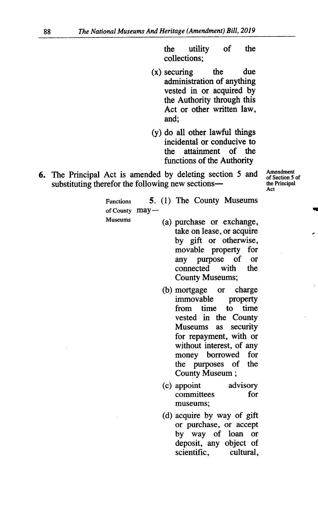the utility of the collections;

- $(x)$  securing the due administration of anything vested in or acquired by the Authority through this Act or other written law, and;
- $(y)$  do all other lawful things incidental or conducive to<br>the attainment of the the attainment functions of the Authority
- 6. The Principal Act is amended by deleting section 5 and Amendment substituting therefor the following new sections—

of Section 5 of Act

Functions *5.* (1) The County Museums of County may-

- 
- Museums (a) purchase or exchange, take on lease, or acquire by gift or otherwise,<br>movable property for movable property any purpose of or connected County Museums;
	- (b) mortgage or charge immovable property from time to time vested in the County Museums as security for repayment, with or without interest, of any money borrowed for the purposes of the County Museum;
	- appoint advisory committees for museums;
	- (d) acquire by way of gift or purchase, or accept by way of loan or deposit, any object of scientific, cultural,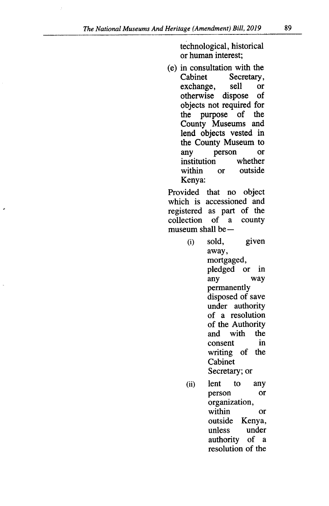technological, historical or human interest;

(e) in consultation with the Cabinet Secretary, exchange, sell or<br>otherwise dispose of otherwise dispose objects not required for the purpose of the County Museums and lend objects vested in the County Museum to any person or institution whether within or outside Kenya:

Provided that no object which is accessioned and registered as part of the collection of a county collection museum shall be $-$ 

- $(i)$ sold, given away, mortgaged, pledged or in any way permanently disposed of save under authority of a resolution of the Authority<br>and with the and with the<br>consent in consent writing of the Cabinet Secretary; or
- lent to any  $(ii)$ person or organization, within or outside Kenya, unless under authority of a resolution of the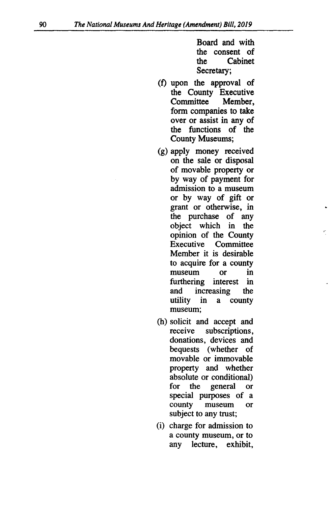Board and with the consent of the Cabinet Secretary;

- upon the approval of the County Executive Committee Member, form companies to take over or assist in any of the functions of the County Museums;
- apply money received on the sale or disposal of movable property or by way of payment for admission to a museum or by way of gift or grant or otherwise, in the purchase of any object which in the opinion of the County Executive Committee Member it is desirable to acquire for a county museum or in furthering interest in and increasing the utility in a county museum;
- (h) solicit and accept and receive subscriptions, donations, devices and bequests (whether of movable or immovable property and whether absolute or conditional) for the general or special purposes of a county museum or subject to any trust;
- (i) charge for admission to a county museum, or to any lecture, exhibit,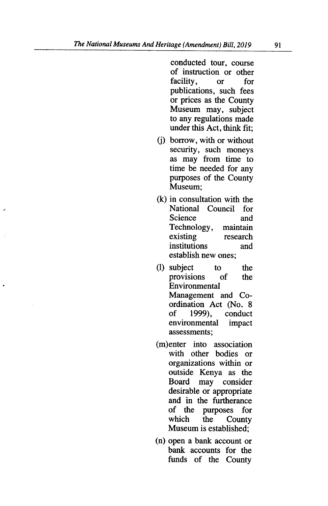conducted tour, course of instruction or other<br>facility, or for facility, or publications, such fees or prices as the County Museum may, subject to any regulations made under this Act, think fit;

- borrow, with or without security, such moneys as may from time to time be needed for any purposes of the County Museum;
- $(k)$  in consultation with the National Council for Science and Technology, maintain<br>existing research research institutions and establish new ones;
- (I) subject to the provisions of the Environmental Management and Coordination Act (No. 8<br>of 1999), conduct conduct environmental impact assessments;
- (m)enter into association with other bodies or organizations within or outside Kenya as the<br>Board may consider may consider desirable or appropriate and in the furtherance<br>of the purposes for of the purposes for County Museum is established;
- (n) open a bank account or bank accounts for the funds of the County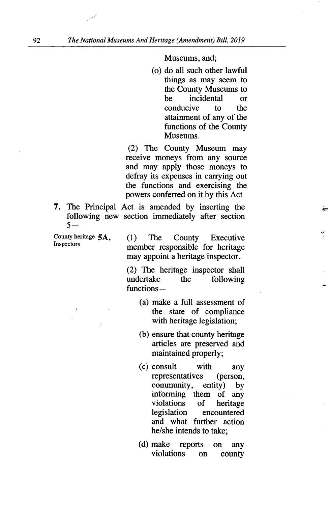Museums, and;

(o) do all such other lawful things as may seem to the County Museums to be incidental or conducive to the attainment of any of the functions of the County Museums.

(2) The County Museum may receive moneys from any source and may apply those moneys to defray its expenses in carrying out the functions and exercising the powers conferred on it by this Act

7. The Principal Act is amended by inserting the following new section immediately after section *5-* 

County heritage 5A. (1) The County Executive<br>Inspectors momber recognisible for heritage member responsible for heritage may appoint a heritage inspector.

> (2) The heritage inspector shall undertake the following  $functions -$

- make a full assessment of the state of compliance with heritage legislation;
- (b) ensure that county heritage articles are preserved and maintained properly;
- consult with any representatives (person,<br>community, entity) by community, entity) by informing them of any<br>violations of heritage violations<br>legislation encountered and what further action he/she intends to take;
- (d) make reports on any violations on county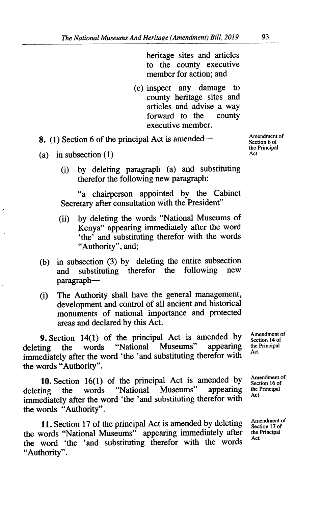heritage sites and articles to the county executive member for action; and

(e) inspect any damage to county heritage sites and articles and advise a way forward to the executive member.

8. (1) Section 6 of the principal Act is amended— $\frac{\text{Amendment of}}{\text{Section 6 of}}$ 

- (a) in subsection  $(1)$ 
	- by deleting paragraph (a) and substituting  $(i)$ therefor the following new paragraph:

"a chairperson appointed by the Cabinet Secretary after consultation with the President"

- by deleting the words "National Museums of  $(ii)$ Kenya" appearing immediately after the word 'the' and substituting therefor with the words "Authority", and;
- (b) in subsection (3) by deleting the entire subsection<br>and substituting therefor the following new and substituting therefor the following paragraph-
- (i) The Authority shall have the general management, development and control of all ancient and historical monuments of national importance and protected areas and declared by this Act.

**9.** Section 14(1) of the principal Act is amended by  $\frac{\text{Amendment of}}{\text{seen 14 of}}$  the words "National Museums" appearing the Principal deleting the words "National Museums" appearing the immediately after the word 'the 'and substituting therefor with the words "Authority".

**10.** Section 16(1) of the principal Act is amended by  $\frac{\text{Amendment of}}{\text{Step 16 of}}$  the words "National Museums" appearing the Principal deleting the words "National Museums" appearing the Principal immediately after the word 'the 'and substituting therefor with Act the words "Authority".

**11.** Section 17 of the principal Act is amended by deleting  $\frac{\text{Amendment of}}{\text{Section 17 of}}$ the words "National Museums" appearing immediately after the the word 'the 'and substituting therefor with the words "Authority".

Section 6 of the Principal

Section 14 of<br>the Principal

Section 16 of

Section 17 of<br>the Principal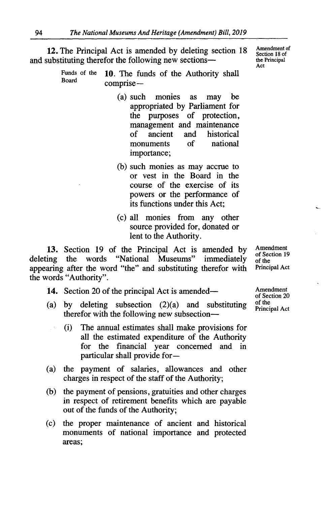12. The Principal Act is amended by deleting section 18 Amendment *of*  and substituting therefor the following new sections—

> Funds of the **10**. The funds of the Authority shall comprise -

- (a) such monies as may be appropriated by Parliament for the purposes of protection, management and maintenance<br>of ancient and historical of ancient and historical<br>monuments of national monuments importance;
- (b) such monies as may accrue to or vest in the Board in the course of the exercise of its powers or the performance of its functions under this Act;
- all monies from any other source provided for, donated or lent to the Authority.

13. Section 19 of the Principal Act is amended by Amendment of Section 19 the words "National Museums" immediately of the deleting the words "National Museums" immediately of the<br>appearing after the word "the" and substituting therefor with Principal Act appearing after the word "the" and substituting therefor with the words "Authority".

- 14. Section 20 of the principal Act is amended— Amendment
- (a) by deleting subsection  $(2)(a)$  and substituting of the Principal Act therefor with the following new subsection—
	- (i) The annual estimates shall make provisions for all the estimated expenditure of the Authority for the financial year concerned and in particular shall provide for-
- the payment of salaries, allowances and other  $(a)$ charges in respect of the staff of the Authority;
- $(b)$ the payment of pensions, gratuities and other charges in respect of retirement benefits which are payable out of the funds of the Authority;
- the proper maintenance of ancient and historical  $(c)$ monuments of national importance and protected areas;

of Section 20

Section 18 of<br>the Principal Act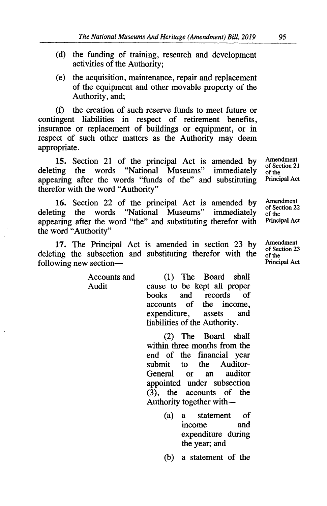- (d) the funding of training, research and development activities of the Authority;
- $(e)$ the acquisition, maintenance, repair and replacement of the equipment and other movable property of the Authority, and;

the creation of such reserve funds to meet future or  $(f)$ contingent liabilities in respect of retirement benefits, insurance or replacement of buildings or equipment, or in respect of such other matters as the Authority may deem appropriate.

15. Section 21 of the principal Act is amended by Amendment of Section 21 deleting the words "National Museums" immediately of the<br>Principal Act appearing after the words "funds of the" and substituting therefor with the word "Authority"

16. Section 22 of the principal Act is amended by Amendment of Section 22 deleting the words "National Museums" immediately or section 22<br>appearing after the word "the" and substituting therefor with Principal Act appearing after the word "the" and substituting therefor with the word "Authority"

17. The Principal Act is amended in section 23 by Amendment of Section 23 deleting the subsection and substituting therefor with the  $\frac{0.05 \text{ cm}}{0.05 \text{ cm}}$  errors following new section  $\frac{1}{2}$ following new section—

Accounts and (1) The Board shall<br>Audit cause to be kept all proper cause to be kept all proper<br>books and records of books and records of<br>accounts of the income. accounts of the income,<br>expenditure, assets and expenditure, liabilities of the Authority.

> (2) The Board shall within three months from the end of the financial year submit to the Auditor-<br>General or an auditor General or an appointed under subsection (3), the accounts of the Authority together with-

> > $(a)$ a statement of income expenditure during the year; and

a statement of the

of the

*of* the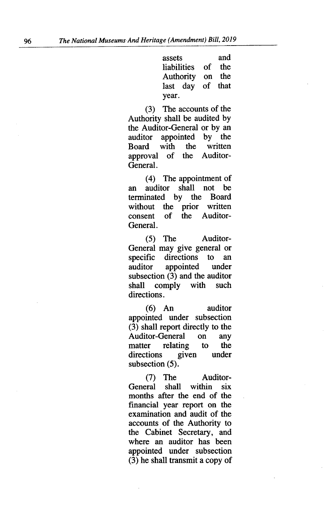assets and liabilities of the Authority on the last day of that year.

(3) The accounts of the Authority shall be audited by the Auditor-General or by an auditor appointed by the<br>Board with the written Board with the written<br>approval of the Auditorapproval of General.

(4) The appointment of an auditor shall not be<br>terminated by the Board terminated by the without the prior written<br>consent of the Auditorconsent of the Auditor-General.

 $(5)$ The Auditor-General may give general or specific directions to an auditor appointed under subsection (3) and the auditor shall comply with such directions.

An auditor appointed under subsection (3) shall report directly to the Auditor-General on any<br>matter relating to the matter relating to the<br>directions given under directions subsection *(5).* 

 $(7)$ The Auditor-General shall within six months after the end of the financial year report on the examination and audit of the accounts of the Authority to the Cabinet Secretary, and where an auditor has been appointed under subsection (3) he shall transmit a copy of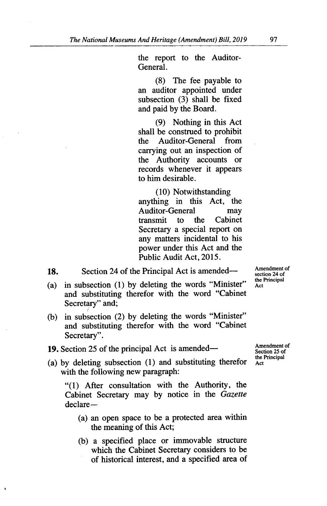the report to the Auditor-General.

(8) The fee payable to an auditor appointed under subsection (3) shall be fixed and paid by the Board.

(9) Nothing in this Act shall be construed to prohibit the Auditor-General from carrying out an inspection of the Authority accounts or records whenever it appears to him desirable.

(10) Notwithstanding anything in this Act, the Auditor-General may transmit to the Cabinet Secretary a special report on any matters incidental to his power under this Act and the Public Audit Act, *2015.* 

18. Section 24 of the Principal Act is amended—

- $(a)$ in subsection (1) by deleting the words "Minister" and substituting therefor with the word "Cabinet Secretary" and;
- in subsection (2) by deleting the words "Minister"  $(b)$ and substituting therefor with the word "Cabinet Secretary".
- **19.** Section 25 of the principal Act is amended—<br>the Principal Act is  $\frac{\text{Amendment of }{\text{Section 25 of}}}$
- (a) by deleting subsection (1) and substituting therefor  $\tilde{A}_{\text{c}t}$ with the following new paragraph:

"(1) After consultation with the Authority, the Cabinet Secretary may by notice in the *Gazette*  declare-

- an open space to be a protected area within the meaning of this Act;
- a specified place or immovable structure which the Cabinet Secretary considers to be of historical interest, and a specified area of

Amendment of section 24 of the Principal Act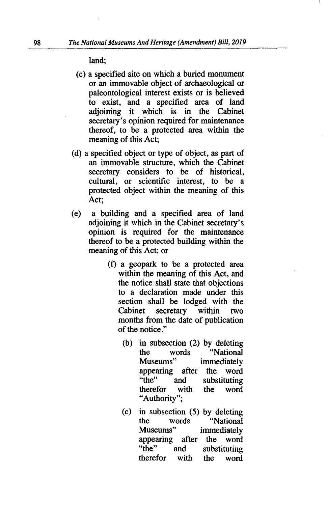land;

- (c) a specified site on which a buried monument or an immovable object of archaeological or paleontological interest exists or is believed to exist, and a specified area of land adjoining it which is in the Cabinet secretary's opinion required for maintenance thereof, to be a protected area within the meaning of this Act;
- a specified object or type of object, as part of an immovable structure, which the Cabinet secretary considers to be of historical, cultural, or scientific interest, to be a protected object within the meaning of this Act;
- $(e)$ a building and a specified area of land adjoining it which in the Cabinet secretary's opinion is required for the maintenance thereof to be a protected building within the meaning of this Act; or
	- a geopark to be a protected area within the meaning of this Act, and the notice shall state that objections to a declaration made under this section shall be lodged with the Cabinet secretary within two months from the date of publication of the notice."
		- (b) in subsection  $(2)$  by deleting the words "National Museums" immediately appearing after the word<br>"the" and substituting and substituting<br>with the word therefor with the word "Authority";
		- in subsection *(5)* by deleting  $(c)$ the words "National Museums" immediately appearing after the word "the" and substituting<br>therefor with the word therefor with the word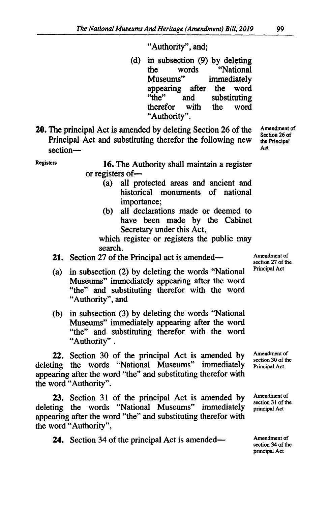### "Authority", and;

- (d) in subsection (9) by deleting<br>the words "National" words "National Museums" immediately appearing after the word<br>"the" and substituting and substituting<br>with the word therefor "Authority".
- **20.** The principal Act is amended by deleting Section 26 of the Amendment of Section 26 of Principal Act and substituting therefor the following new the Principal acction section—

Registers **16.** The Authority shall maintain a register or registers of-

- all protected areas and ancient and historical monuments of national importance;
- all declarations made or deemed to  $(b)$ have been made by the Cabinet Secretary under this Act,

which register or registers the public may search.

- 21. Section 27 of the Principal act is amended—
- in subsection (2) by deleting the words "National  $(a)$ Museums" immediately appearing after the word "the" and substituting therefor with the word "Authority", and
- (b) in subsection (3) by deleting the words "National Museums" immediately appearing after the word "the" and substituting therefor with the word "Authority".

22. Section 30 of the principal Act is amended by Amendment of section 30 of the deleting the words "National Museums" immediately **Principal Act** appearing after the word "the" and substituting therefor with the word "Authority".

23. Section 31 of the principal Act is amended by Amendment of section 31 of the deleting the words "National Museums" immediately principal Act appearing after the word "the" and substituting therefor with the word "Authority",

24. Section 34 of the principal Act is amended— Amendment of

Amendment of section 27 of the Principal Act

section 34 of the principal Act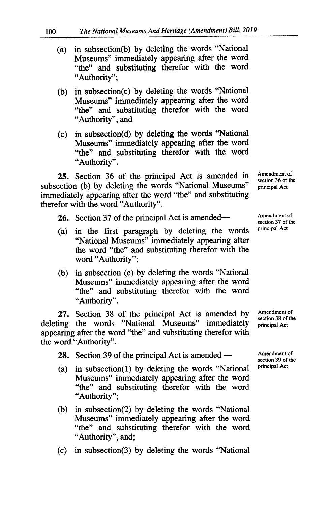- in subsection(b) by deleting the words "National  $(a)$ Museums" immediately appearing after the word "the" and substituting therefor with the word "Authority";
- in subsection(c) by deleting the words "National  $(b)$ Museums" immediately appearing after the word "the" and substituting therefor with the word "Authority", and
- in subsection(d) by deleting the words "National  $(c)$ Museums" immediately appearing after the word "the" and substituting therefor with the word "Authority".

25. Section 36 of the principal Act is amended in Amendment of section 36 of the subsection (b) by deleting the words "National Museums" principal Act immediately appearing after the word "the" and substituting therefor with the word "Authority".

- **26.** Section 37 of the principal Act is amended—  $\frac{\text{Amendment of}}{\text{methal}}$
- $(a)$  in the first paragraph by deleting the words "National Museums" immediately appearing after the word "the" and substituting therefor with the word "Authority";
- (b) in subsection (c) by deleting the words "National Museums" immediately appearing after the word "the" and substituting therefor with the word "Authority".

27. Section 38 of the principal Act is amended by Amendment of section 38 of the deleting the words "National Museums" immediately principal Act appearing after the word "the" and substituting therefor with the word "Authority".

28. Section 39 of the principal Act is amended — Amendment of

- (a) in subsection(1) by deleting the words "National Museums" immediately appearing after the word "the" and substituting therefor with the word "Authority";
- (b) in subsection(2) by deleting the words "National Museums" immediately appearing after the word "the" and substituting therefor with the word "Authority", and;
- $(c)$  in subsection(3) by deleting the words "National

section 37 of the<br>principal Act

section 39 of the<br>principal Act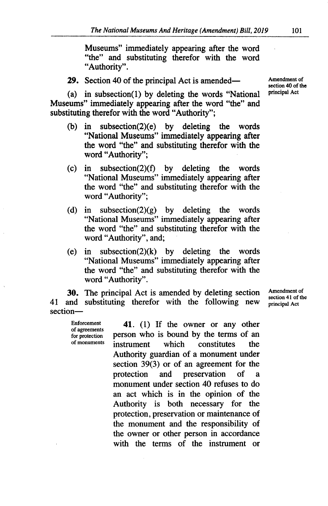Museums" immediately appearing after the word "the" and substituting therefor with the word "Authority".

29. Section 40 of the principal Act is amended—

(a) in subsection(1) by deleting the words "National Museums" immediately appearing after the word "the" and substituting therefor with the word "Authority";

- (b) in subsection(2)(e) by deleting the words "National Museums" immediately appearing after the word "the" and substituting therefor with the word "Authority";
- $\text{(c)}$  in subsection(2)(f) by deleting the words "National Museums" immediately appearing after the word "the" and substituting therefor with the word "Authority";
- (d) in subsection(2)(g) by deleting the words "National Museums" immediately appearing after the word "the" and substituting therefor with the word "Authority", and;
- in subsection(2)(k) by deleting the words  $(e)$ "National Museums" immediately appearing after the word "the" and substituting therefor with the word "Authority".

**30.** The principal Act is amended by deleting section Amendment of section 41 of the 41 and substituting therefor with the following new section 41 or section-

Enforcement **41.** (1) If the owner or any other of agreements of an error or any other for protection **person** who is bound by the terms of an of agreements person who is bound by the terms of an of monuments instrument which constitutes the instrument which constitutes the Authority guardian of a monument under section 39(3) or of an agreement for the protection and preservation of monument under section 40 refuses to do an act which is in the opinion of the Authority is both necessary for the protection, preservation or maintenance of the monument and the responsibility of the owner or other person in accordance with the terms of the instrument or

Amendment of section 40 of the principal Act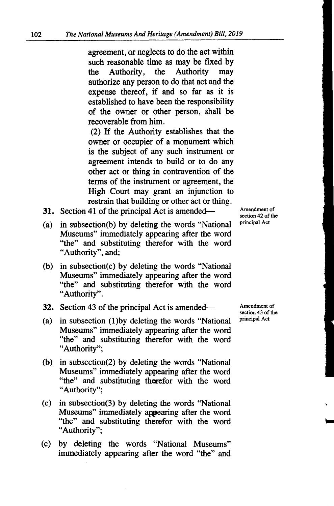agreement, or neglects to do the act within such reasonable time as may be fixed by the Authority, the Authority may authorize any person to do that act and the expense thereof, if and so far as it is established to have been the responsibility of the owner or other person, shall be recoverable from him.

(2) If the Authority establishes that the owner or occupier of a monument which is the subject of any such instrument or agreement intends to build or to do any other act or thing in contravention of the terms of the instrument or agreement, the High Court may grant an injunction to restrain that building or other act or thing.

- 31. Section 41 of the principal Act is amended—
- (a) in subsection(b) by deleting the words "National Museums" immediately appearing after the word "the" and substituting therefor with the word "Authority", and;
- (b) in subsection(c) by deleting the words "National Museums" immediately appearing after the word "the" and substituting therefor with the word "Authority".
- 32. Section 43 of the principal Act is amended-
- (a) in subsection  $(1)$  by deleting the words "National Museums" immediately appearing after the word "the" and substituting therefor with the word "Authority";
- (b) in subsection(2) by deleting the words "National Museums" immediately appearing after the word "the" and substituting therefor with the word "Authority";
- $(c)$  in subsection(3) by deleting the words "National Museums" immediately appearing after the word "the" and substituting therefor with the word "Authority";
- (c) by deleting the words "National Museums" immediately appearing after the word "the" and

Amendment of section 43 of the

principal Act

Amendment of section 42 of the principal Act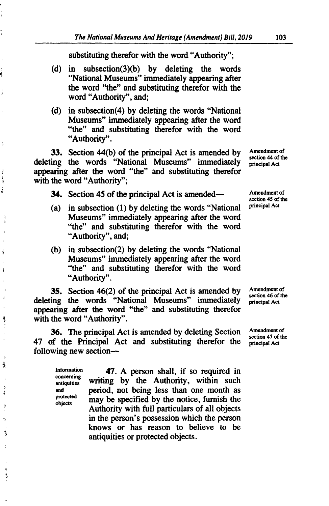substituting therefor with the word "Authority";

- (d) in subsection(3)(b) by deleting the words "National Museums" immediately appearing after the word "the" and substituting therefor with the word "Authority", and;
- (d) in subsection(4) by deleting the words "National Museums" immediately appearing after the word "the" and substituting therefor with the word "Authority".

**33.** Section 44(b) of the principal Act is amended by deleting the words "National Museums" immediately principal Act deleting the words "National Museums" immediately principal Act appearing after the word "the" and substituting therefor with the word "Authority";

**34.** Section 45 of the principal Act is amended— **Amendment of** 

- (a) in subsection  $(1)$  by deleting the words "National Museums" immediately appearing after the word "the" and substituting therefor with the word "Authority", and;
- (b) in subsection(2) by deleting the words "National Museums" immediately appearing after the word "the" and substituting therefor with the word "Authority".

35. Section  $46(2)$  of the principal Act is amended by Amendment of section  $46$  of the deleting the words "National Museums" immediately principal Act **appearing after the word "the" and substituting therefor**  with the word "Authority".

**36.** The principal Act is amended by deleting Section Amendment of section 47 of the 47 of the Principal Act and substituting therefor the principal Act following new section-

concerning<br>antiquities

ġ

j

Ą

 $\overline{1}$ بار<br>م Ĵ

> -à  $\lambda$

ś

ä

ğ,  $\lambda$ Ą

ŋ å

> Ğ, Ą 9 4) 3 þ

> > ę

information **47.** A person shall, if so required in writing by the Authority, within such and period, not being less than one month as protected may be specified by the notice, furnish the Authority with full particulars of all objects in the person's possession which the person knows or has reason to believe to be antiquities or protected objects.

Amendment of

section 45 of the<br>principal Act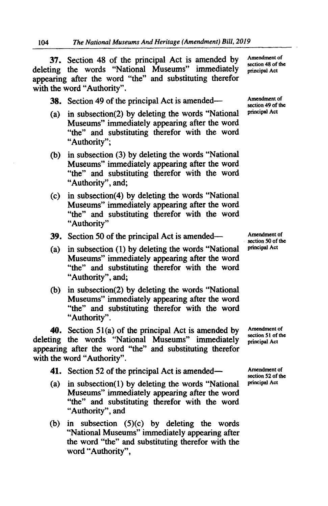37. Section 48 of the principal Act is amended by Amendment of section 48 of the deleting the words "National Museums" immediately **principal Act** appearing after the word "the" and substituting therefor with the word "Authority".

38. Section 49 of the principal Act is amended— Amendment of

- (a) in subsection(2) by deleting the words "National Museums" immediately appearing after the word "the" and substituting therefor with the word "Authority";
- (b) in subsection  $(3)$  by deleting the words "National Museums" immediately appearing after the word "the" and substituting therefor with the word "Authority", and;
- in subsection(4) by deleting the words "National Museums" immediately appearing after the word "the" and substituting therefor with the word "Authority"
- 39. Section 50 of the principal Act is amended— Amendment of
- in subsection (1) by deleting the words "National **principal Act**  Museums" immediately appearing after the word "the" and substituting therefor with the word "Authority", and;
- (b) in subsection(2) by deleting the words "National Museums" immediately appearing after the word "the" and substituting therefor with the word "Authority".

40. Section 51(a) of the principal Act is amended by Amendment of section 51 of the deleting the words "National Museums" immediately principal Act appearing after the word "the" and substituting therefor with the word "Authority".

- 41. Section 52 of the principal Act is amended— Amendment of
- (a) in subsection(1) by deleting the words "National **principal Act** Museums" immediately appearing after the word "the" and substituting therefor with the word "Authority", and
- in subsection *(5)(c)* by deleting the words "National Museums" immediately appearing after the word "the" and substituting therefor with the word "Authority",

section 49 of the<br>principal Act

section 50 of the

section 52 of the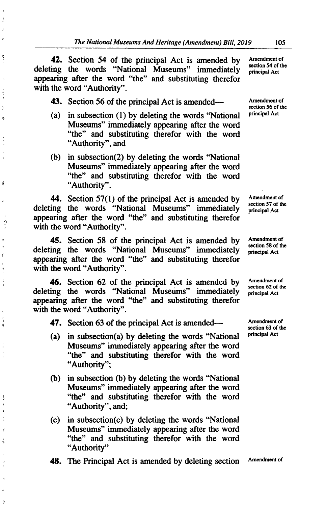**42.** Section 54 of the principal Act is amended by Amendment of deleting the words "National Museums" immediately appearing after the word "the" and substituting therefor with the word "Authority".

ø  $\mathbf{\hat{a}}$ 

Ą

ð b

Ù

Ď  $\cdot$ ò ò, ÿ þ

Â

 $\Delta$ 

Š  $\lambda$ 

Ý ý.

 $\Delta$ 9 43. Section 56 of the principal Act is amended— Amendment of

- (a) in subsection  $(1)$  by deleting the words "National Museums" immediately appearing after the word "the" and substituting therefor with the word "Authority", and
- $(b)$  in subsection(2) by deleting the words "National Museums" immediately appearing after the word "the" and substituting therefor with the word "Authority".

**44.** Section 57(1) of the principal Act is amended by Amendment of section 57 of the deleting the words "National Museums" immediately appearing after the word "the" and substituting therefor with the word "Authority".

45. Section 58 of the principal Act is amended by Amendment of section 58 of the deleting the words "National Museums" immediately appearing after the word "the" and substituting therefor with the word "Authority".

**46.** Section 62 of the principal Act is amended by Amendment of section 62 of the deleting the words "National Museums" immediately appearing after the word "the" and substituting therefor with the word "Authority".

47. Section 63 of the principal Act is amended— Amendment of

- (a) in subsection(a) by deleting the words "National  $P<sup>principal Act</sup>$ Museums" immediately appearing after the word "the" and substituting therefor with the word "Authority";
- (b) in subsection (b) by deleting the words "National Museums" immediately appearing after the word "the" and substituting therefor with the word "Authority", and;
- $(c)$  in subsection $(c)$  by deleting the words "National Museums" immediately appearing after the word "the" and substituting therefor with the word "Authority"

48. The Principal Act is amended by deleting section Amendment of

principal Act

section 56 of the<br>principal Act

principal Act

principal Act

principal Act

section 63 of the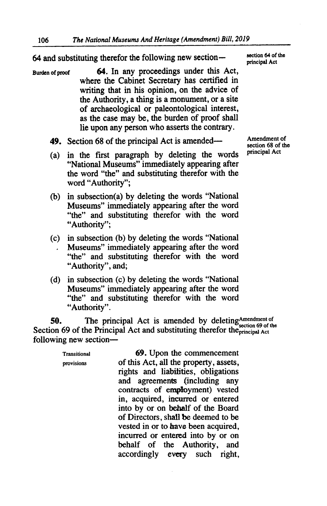# 64 and substituting therefor the following new section $-\frac{\text{section } 64 \text{ of}}{\text{principal Act}}$

- **Burden of proof 64.** In any proceedings under this Act, where the Cabinet Secretary has certified in writing that in his opinion, on the advice of the Authority, a thing is a monument, or a site of archaeological or paleontological interest, as the case may be, the burden of proof shall lie upon any person who asserts the contrary.
	- *49.* Section 68 of the principal Act is amended-
	- (a) in the first paragraph by deleting the words "National Museums" immediately appearing after the word "the" and substituting therefor with the word "Authority";
	- (b) in subsection(a) by deleting the words "National Museums" immediately appearing after the word "the" and substituting therefor with the word "Authority";
	- in subsection (b) by deleting the words "National Museums" immediately appearing after the word "the" and substituting therefor with the word "Authority", and;
	- (d) in subsection (c) by deleting the words "National Museums" immediately appearing after the word "the" and substituting therefor with the word "Authority".

**50.** The principal Act is amended by deletingAmendment of Section 69 of the Principal Act and substituting therefor the<sub>principal Act</sub> following new section-

> Transitional *69.* Upon the commencement provisions of this Act, all the property, assets, rights and liabilities, obligations and agreements (including any contracts of employment) vested in, acquired, incurred or entered into by or on behalf of the Board of Directors, shall be deemed to be vested in or to have been acquired, incurred or entered into by or on behalf of the Authority, and<br>accordingly every such right, accordingly every

section 64 of the

Amendment of section 68 of the principal Act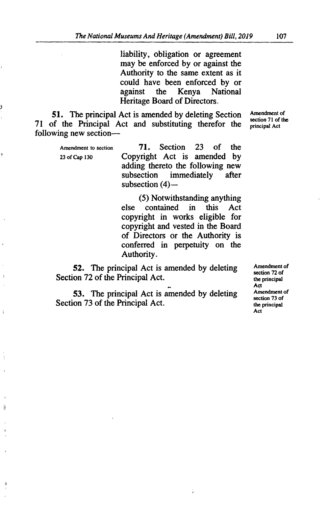liability, obligation or agreement may be enforced by or against the Authority to the same extent as it could have been enforced by or<br>against the Kenya National National Heritage Board of Directors.

51. The principal Act is amended by deleting Section Amendment of section 71 of the 71 of the Principal Act and substituting therefor the **principal Act** following new section-

ÿ

¢

 $\overline{z}$ 

Ì

Ĵ

 $\ddot{\phantom{a}}$ 

Amendment to section 71. Section 23 of the 23 of Cap 130 Copyright Act is amended by adding thereto the following new<br>subsection immediately after immediately subsection  $(4)$ -

> *(5)* Notwithstanding anything else contained in this Act copyright in works eligible for copyright and vested in the Board of Directors or the Authority is conferred in perpetuity on the Authority.

52. The principal Act is amended by deleting  $\frac{\text{Amendment of}}{\text{section } 72 \text{ of}}$ Section 72 of the Principal Act.

53. The principal Act is amended by deleting  $A$ <sup>mendment of</sup>  $A$ <sup>of  $A$ </sup> Section 73 of the Principal Act. the principal  $\frac{1}{2}$  section 75 of

Act<br>Amendment of Act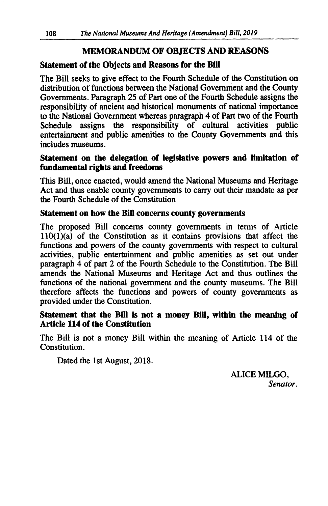## **MEMORANDUM OF OBJECTS AND REASONS**

### **Statement of the Objects and Reasons for the Bifi**

The Bill seeks to give effect to the Fourth Schedule of the Constitution on distribution of functions between the National Government and the County Governments. Paragraph 25 of Part one of the Fourth Schedule assigns the responsibility of ancient and historical monuments of national importance to the National Government whereas paragraph 4 of Part two of the Fourth Schedule assigns the responsibility of cultural activities public entertainment and public amenities to the County Governments and this includes museums.

### **Statement on the delegation of legislative powers and limitation of fundamental rights and freedoms**

This Bill, once enacted, would amend the National Museums and Heritage Act and thus enable county governments to carry out their mandate as per the Fourth Schedule of the Constitution

### **Statement on how the Bill concerns county govermnents**

The proposed Bill concerns county governments in terms of Article  $110(1)(a)$  of the Constitution as it contains provisions that affect the functions and powers of the county governments with respect to cultural activities, public entertainment and public amenities as set out under paragraph 4 of part 2 of the Fourth Schedule to the Constitution. The Bill amends the National Museums and Heritage Act and thus outlines the functions of the national government and the county museums. The Bill therefore affects the functions and powers of county governments as provided under the Constitution.

### **Statement that the Bill is not a money Bill, within the meaning of Article 114 of the Constitution**

The Bill is not a money Bill within the meaning of Article 114 of the Constitution.

Dated the 1st August, 2018.

ALICE MILGO, *Senator.*